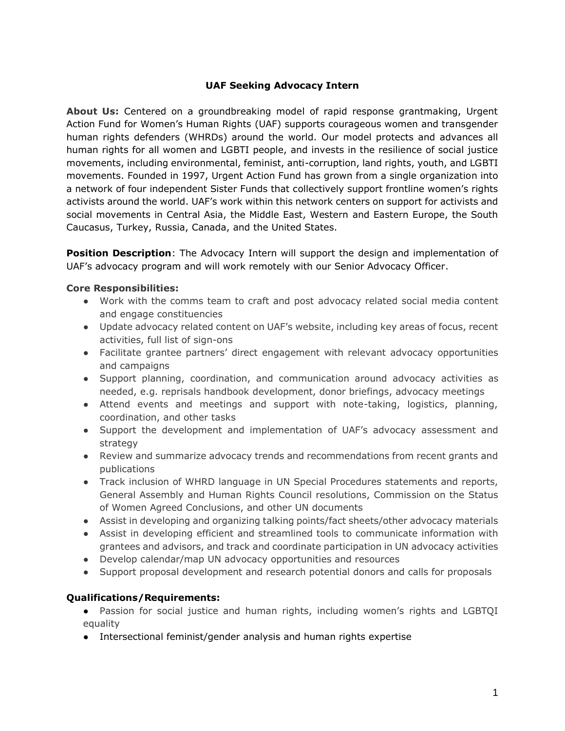## **UAF Seeking Advocacy Intern**

**About Us:** Centered on a groundbreaking model of rapid response grantmaking, Urgent Action Fund for Women's Human Rights (UAF) supports courageous women and transgender human rights defenders (WHRDs) around the world. Our model protects and advances all human rights for all women and LGBTI people, and invests in the resilience of social justice movements, including environmental, feminist, anti-corruption, land rights, youth, and LGBTI movements. Founded in 1997, Urgent Action Fund has grown from a single organization into a network of four independent Sister Funds that collectively support frontline women's rights activists around the world. UAF's work within this network centers on support for activists and social movements in Central Asia, the Middle East, Western and Eastern Europe, the South Caucasus, Turkey, Russia, Canada, and the United States.

**Position Description**: The Advocacy Intern will support the design and implementation of UAF's advocacy program and will work remotely with our Senior Advocacy Officer.

## **Core Responsibilities:**

- Work with the comms team to craft and post advocacy related social media content and engage constituencies
- Update advocacy related content on UAF's website, including key areas of focus, recent activities, full list of sign-ons
- Facilitate grantee partners' direct engagement with relevant advocacy opportunities and campaigns
- Support planning, coordination, and communication around advocacy activities as needed, e.g. reprisals handbook development, donor briefings, advocacy meetings
- Attend events and meetings and support with note-taking, logistics, planning, coordination, and other tasks
- Support the development and implementation of UAF's advocacy assessment and strategy
- Review and summarize advocacy trends and recommendations from recent grants and publications
- Track inclusion of WHRD language in UN Special Procedures statements and reports, General Assembly and Human Rights Council resolutions, Commission on the Status of Women Agreed Conclusions, and other UN documents
- Assist in developing and organizing talking points/fact sheets/other advocacy materials
- Assist in developing efficient and streamlined tools to communicate information with grantees and advisors, and track and coordinate participation in UN advocacy activities
- Develop calendar/map UN advocacy opportunities and resources
- Support proposal development and research potential donors and calls for proposals

## **Qualifications/Requirements:**

- Passion for social justice and human rights, including women's rights and LGBTQI equality
- Intersectional feminist/gender analysis and human rights expertise